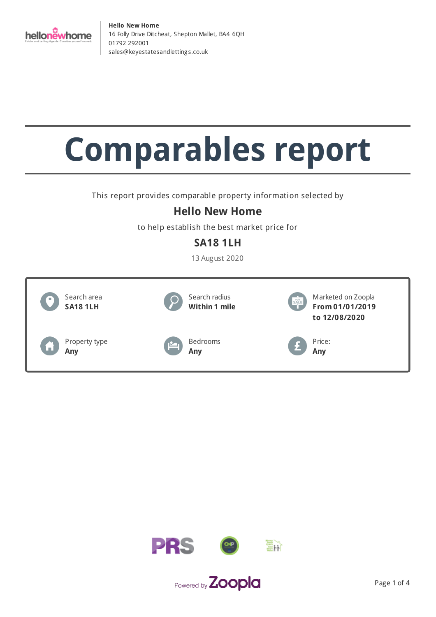

# **Comparables report**

This report provides comparable property information selected by

## **Hello New Home**

to help establish the best market price for

## **SA18 1LH**

13 August 2020



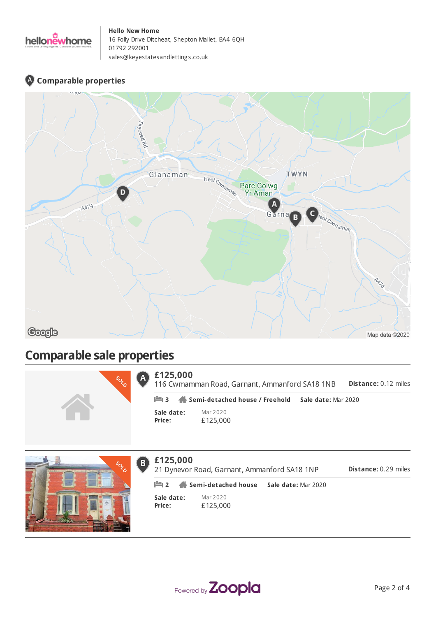

## **Comparable properties**



## **Comparable sale properties**

| CON |                             | £125,000<br>116 Cwmamman Road, Garnant, Ammanford SA18 1NB<br>Dis <sup>1</sup> |  |  |
|-----|-----------------------------|--------------------------------------------------------------------------------|--|--|
|     | $\mathbb{H}$ 3              | Semi-detached house / Freehold Sale date: Mar 2020                             |  |  |
|     | Sale date:<br><b>Price:</b> | Mar 2020<br>£125,000                                                           |  |  |



#### **£125,000**  $\bf{B}$

**Distance:** 0.29 miles 21 Dynevor Road, Garnant, Ammanford SA18 1NP **2 Semi-detached house Sale date:** Mar 2020

**Sale date: Price:**

Mar 2020 £125,000



**Distance:** 0.12 miles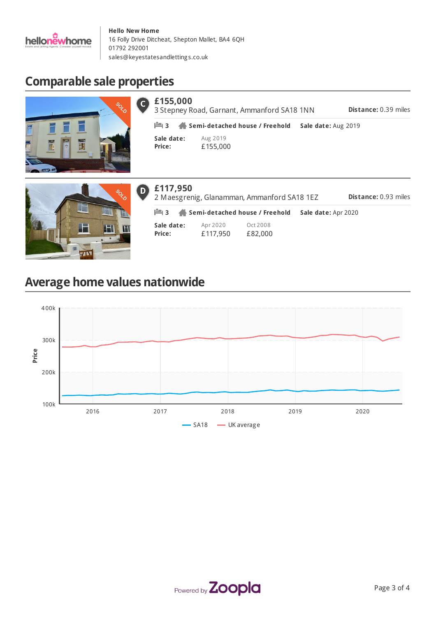

## **Comparable sale properties**



| £155,000             | <b>Distance: 0.39 miles</b><br>3 Stepney Road, Garnant, Ammanford SA18 1NN |                     |  |  |  |
|----------------------|----------------------------------------------------------------------------|---------------------|--|--|--|
| $\mathbb{H}$ 3       | Semi-detached house / Freehold                                             | Sale date: Aug 2019 |  |  |  |
| Sale date:<br>Price: | Aug 2019<br>£155,000                                                       |                     |  |  |  |



#### **£117,950** D)

**Sale date: Price:** Apr 2020 £117,950 Oct 2008 £82,000 **Distance:** 0.93 miles 2 Maesgrenig, Glanamman, Ammanford SA18 1EZ **3 Semi-detached house / Freehold Sale date:** Apr 2020

## **Average home values nationwide**